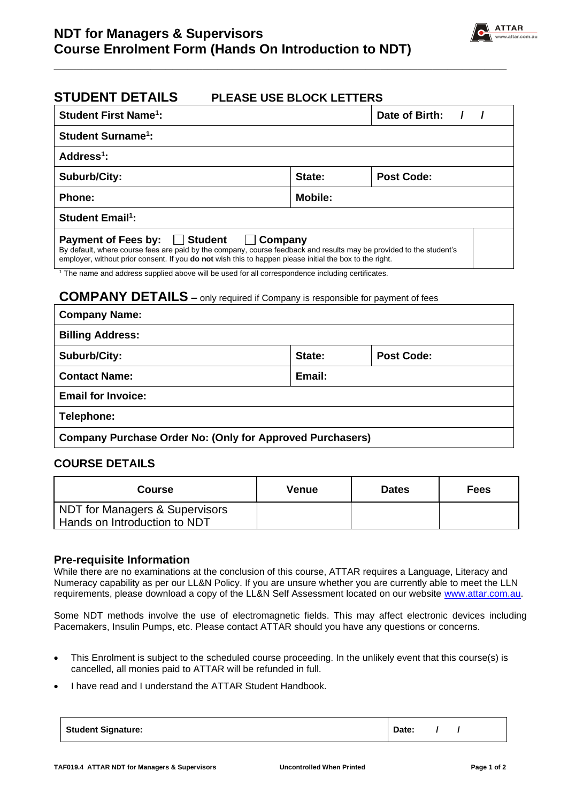

## **STUDENT DETAILS PLEASE USE BLOCK LETTERS**

| <b>Student First Name<sup>1</sup>:</b>                                                                                                                                                                                                                                                                                                                                                                           |         | Date of Birth:    |  |  |  |  |
|------------------------------------------------------------------------------------------------------------------------------------------------------------------------------------------------------------------------------------------------------------------------------------------------------------------------------------------------------------------------------------------------------------------|---------|-------------------|--|--|--|--|
| <b>Student Surname<sup>1</sup>:</b>                                                                                                                                                                                                                                                                                                                                                                              |         |                   |  |  |  |  |
| Address <sup>1</sup> :                                                                                                                                                                                                                                                                                                                                                                                           |         |                   |  |  |  |  |
| <b>Suburb/City:</b>                                                                                                                                                                                                                                                                                                                                                                                              | State:  | <b>Post Code:</b> |  |  |  |  |
| <b>Phone:</b>                                                                                                                                                                                                                                                                                                                                                                                                    | Mobile: |                   |  |  |  |  |
| <b>Student Email<sup>1</sup>:</b>                                                                                                                                                                                                                                                                                                                                                                                |         |                   |  |  |  |  |
| <b>Student</b><br><b>Payment of Fees by:</b><br>Company<br>By default, where course fees are paid by the company, course feedback and results may be provided to the student's<br>employer, without prior consent. If you <b>do not</b> wish this to happen please initial the box to the right.<br><sup>1</sup> The name and address supplied above will be used for all correspondence including certificates. |         |                   |  |  |  |  |
| <b>COMPANY DETAILS</b> - only required if Company is responsible for payment of fees                                                                                                                                                                                                                                                                                                                             |         |                   |  |  |  |  |
| <b>Company Name:</b>                                                                                                                                                                                                                                                                                                                                                                                             |         |                   |  |  |  |  |
| <b>Billing Address:</b>                                                                                                                                                                                                                                                                                                                                                                                          |         |                   |  |  |  |  |
| <b>Suburb/City:</b>                                                                                                                                                                                                                                                                                                                                                                                              | State:  | <b>Post Code:</b> |  |  |  |  |
| <b>Contact Name:</b>                                                                                                                                                                                                                                                                                                                                                                                             | Email:  |                   |  |  |  |  |

**\_\_\_\_\_\_\_\_\_\_\_\_\_\_\_\_\_\_\_\_\_\_\_\_\_\_\_\_\_\_\_\_\_\_\_\_\_\_\_\_\_\_\_\_\_\_\_\_\_\_\_\_\_\_\_\_\_\_\_\_\_**

**Email for Invoice:**

**Telephone:**

**Company Purchase Order No: (Only for Approved Purchasers)**

## **COURSE DETAILS**

| <b>Course</b>                                                             | Venue | <b>Dates</b> | Fees |
|---------------------------------------------------------------------------|-------|--------------|------|
| <b>NDT for Managers &amp; Supervisors</b><br>Hands on Introduction to NDT |       |              |      |

### **Pre-requisite Information**

While there are no examinations at the conclusion of this course, ATTAR requires a Language, Literacy and Numeracy capability as per our LL&N Policy. If you are unsure whether you are currently able to meet the LLN requirements, please download a copy of the LL&N Self Assessment located on our website [www.attar.com.au.](http://www.attar.com.au/)

Some NDT methods involve the use of electromagnetic fields. This may affect electronic devices including Pacemakers, Insulin Pumps, etc. Please contact ATTAR should you have any questions or concerns.

- This Enrolment is subject to the scheduled course proceeding. In the unlikely event that this course(s) is cancelled, all monies paid to ATTAR will be refunded in full.
- I have read and I understand the ATTAR Student Handbook.

| <b>Student Signature:</b> | Date: |  |  |
|---------------------------|-------|--|--|
|---------------------------|-------|--|--|

Г